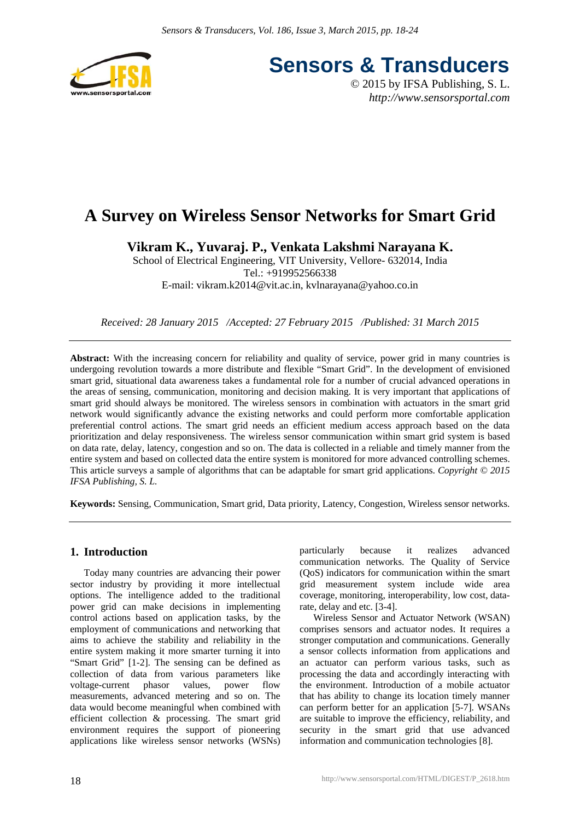

**Sensors & Transducers**

© 2015 by IFSA Publishing, S. L. *http://www.sensorsportal.com*

# **A Survey on Wireless Sensor Networks for Smart Grid**

**Vikram K., Yuvaraj. P., Venkata Lakshmi Narayana K.** 

School of Electrical Engineering, VIT University, Vellore- 632014, India Tel.: +919952566338 E-mail: vikram.k2014@vit.ac.in, kvlnarayana@yahoo.co.in

*Received: 28 January 2015 /Accepted: 27 February 2015 /Published: 31 March 2015*

**Abstract:** With the increasing concern for reliability and quality of service, power grid in many countries is undergoing revolution towards a more distribute and flexible "Smart Grid". In the development of envisioned smart grid, situational data awareness takes a fundamental role for a number of crucial advanced operations in the areas of sensing, communication, monitoring and decision making. It is very important that applications of smart grid should always be monitored. The wireless sensors in combination with actuators in the smart grid network would significantly advance the existing networks and could perform more comfortable application preferential control actions. The smart grid needs an efficient medium access approach based on the data prioritization and delay responsiveness. The wireless sensor communication within smart grid system is based on data rate, delay, latency, congestion and so on. The data is collected in a reliable and timely manner from the entire system and based on collected data the entire system is monitored for more advanced controlling schemes. This article surveys a sample of algorithms that can be adaptable for smart grid applications. *Copyright © 2015 IFSA Publishing, S. L.*

**Keywords:** Sensing, Communication, Smart grid, Data priority, Latency, Congestion, Wireless sensor networks.

#### **1. Introduction**

Today many countries are advancing their power sector industry by providing it more intellectual options. The intelligence added to the traditional power grid can make decisions in implementing control actions based on application tasks, by the employment of communications and networking that aims to achieve the stability and reliability in the entire system making it more smarter turning it into "Smart Grid" [1-2]. The sensing can be defined as collection of data from various parameters like voltage-current phasor values, power flow measurements, advanced metering and so on. The data would become meaningful when combined with efficient collection & processing. The smart grid environment requires the support of pioneering applications like wireless sensor networks (WSNs)

particularly because it realizes advanced communication networks. The Quality of Service (QoS) indicators for communication within the smart grid measurement system include wide area coverage, monitoring, interoperability, low cost, datarate, delay and etc. [3-4].

Wireless Sensor and Actuator Network (WSAN) comprises sensors and actuator nodes. It requires a stronger computation and communications. Generally a sensor collects information from applications and an actuator can perform various tasks, such as processing the data and accordingly interacting with the environment. Introduction of a mobile actuator that has ability to change its location timely manner can perform better for an application [5-7]. WSANs are suitable to improve the efficiency, reliability, and security in the smart grid that use advanced information and communication technologies [8].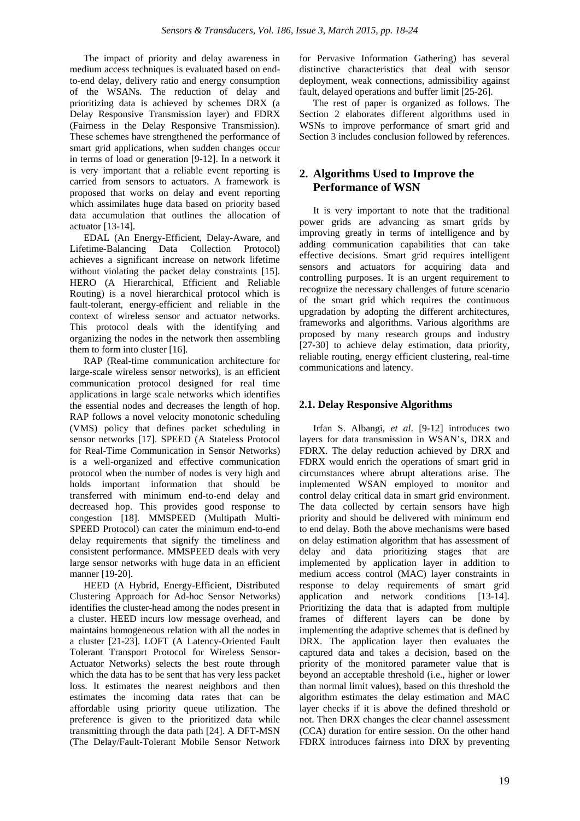The impact of priority and delay awareness in medium access techniques is evaluated based on endto-end delay, delivery ratio and energy consumption of the WSANs. The reduction of delay and prioritizing data is achieved by schemes DRX (a Delay Responsive Transmission layer) and FDRX (Fairness in the Delay Responsive Transmission). These schemes have strengthened the performance of smart grid applications, when sudden changes occur in terms of load or generation [9-12]. In a network it is very important that a reliable event reporting is carried from sensors to actuators. A framework is proposed that works on delay and event reporting which assimilates huge data based on priority based data accumulation that outlines the allocation of actuator [13-14].

EDAL (An Energy-Efficient, Delay-Aware, and Lifetime-Balancing Data Collection Protocol) achieves a significant increase on network lifetime without violating the packet delay constraints [15]. HERO (A Hierarchical, Efficient and Reliable Routing) is a novel hierarchical protocol which is fault-tolerant, energy-efficient and reliable in the context of wireless sensor and actuator networks. This protocol deals with the identifying and organizing the nodes in the network then assembling them to form into cluster [16].

RAP (Real-time communication architecture for large-scale wireless sensor networks), is an efficient communication protocol designed for real time applications in large scale networks which identifies the essential nodes and decreases the length of hop. RAP follows a novel velocity monotonic scheduling (VMS) policy that defines packet scheduling in sensor networks [17]. SPEED (A Stateless Protocol for Real-Time Communication in Sensor Networks) is a well-organized and effective communication protocol when the number of nodes is very high and holds important information that should be transferred with minimum end-to-end delay and decreased hop. This provides good response to congestion [18]. MMSPEED (Multipath Multi-SPEED Protocol) can cater the minimum end-to-end delay requirements that signify the timeliness and consistent performance. MMSPEED deals with very large sensor networks with huge data in an efficient manner [19-20].

HEED (A Hybrid, Energy-Efficient, Distributed Clustering Approach for Ad-hoc Sensor Networks) identifies the cluster-head among the nodes present in a cluster. HEED incurs low message overhead, and maintains homogeneous relation with all the nodes in a cluster [21-23]. LOFT (A Latency-Oriented Fault Tolerant Transport Protocol for Wireless Sensor-Actuator Networks) selects the best route through which the data has to be sent that has very less packet loss. It estimates the nearest neighbors and then estimates the incoming data rates that can be affordable using priority queue utilization. The preference is given to the prioritized data while transmitting through the data path [24]. A DFT-MSN (The Delay/Fault-Tolerant Mobile Sensor Network for Pervasive Information Gathering) has several distinctive characteristics that deal with sensor deployment, weak connections, admissibility against fault, delayed operations and buffer limit [25-26].

The rest of paper is organized as follows. The Section 2 elaborates different algorithms used in WSNs to improve performance of smart grid and Section 3 includes conclusion followed by references.

## **2. Algorithms Used to Improve the Performance of WSN**

It is very important to note that the traditional power grids are advancing as smart grids by improving greatly in terms of intelligence and by adding communication capabilities that can take effective decisions. Smart grid requires intelligent sensors and actuators for acquiring data and controlling purposes. It is an urgent requirement to recognize the necessary challenges of future scenario of the smart grid which requires the continuous upgradation by adopting the different architectures, frameworks and algorithms. Various algorithms are proposed by many research groups and industry [27-30] to achieve delay estimation, data priority, reliable routing, energy efficient clustering, real-time communications and latency.

## **2.1. Delay Responsive Algorithms**

Irfan S. Albangi, *et al*. [9-12] introduces two layers for data transmission in WSAN's, DRX and FDRX. The delay reduction achieved by DRX and FDRX would enrich the operations of smart grid in circumstances where abrupt alterations arise. The implemented WSAN employed to monitor and control delay critical data in smart grid environment. The data collected by certain sensors have high priority and should be delivered with minimum end to end delay. Both the above mechanisms were based on delay estimation algorithm that has assessment of delay and data prioritizing stages that are implemented by application layer in addition to medium access control (MAC) layer constraints in response to delay requirements of smart grid application and network conditions [13-14]. Prioritizing the data that is adapted from multiple frames of different layers can be done by implementing the adaptive schemes that is defined by DRX. The application layer then evaluates the captured data and takes a decision, based on the priority of the monitored parameter value that is beyond an acceptable threshold (i.e., higher or lower than normal limit values), based on this threshold the algorithm estimates the delay estimation and MAC layer checks if it is above the defined threshold or not. Then DRX changes the clear channel assessment (CCA) duration for entire session. On the other hand FDRX introduces fairness into DRX by preventing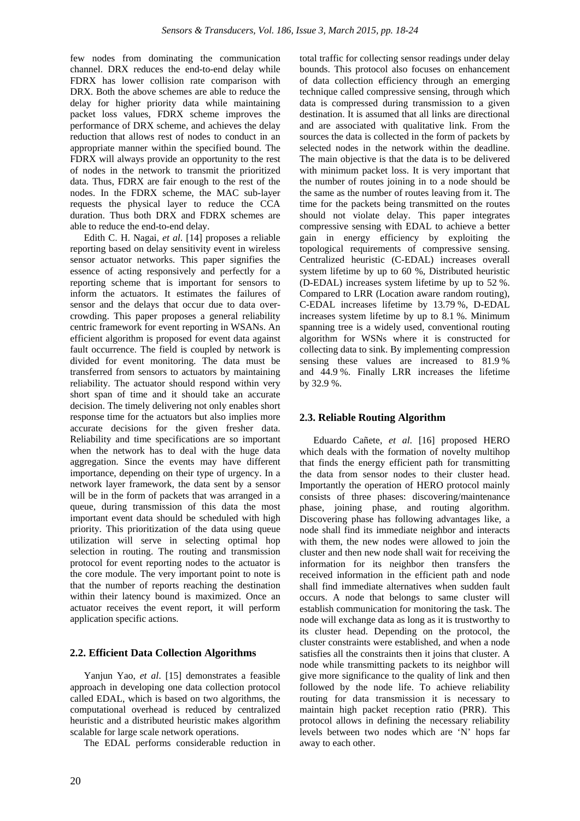few nodes from dominating the communication channel. DRX reduces the end-to-end delay while FDRX has lower collision rate comparison with DRX. Both the above schemes are able to reduce the delay for higher priority data while maintaining packet loss values, FDRX scheme improves the performance of DRX scheme, and achieves the delay reduction that allows rest of nodes to conduct in an appropriate manner within the specified bound. The FDRX will always provide an opportunity to the rest of nodes in the network to transmit the prioritized data. Thus, FDRX are fair enough to the rest of the nodes. In the FDRX scheme, the MAC sub-layer requests the physical layer to reduce the CCA duration. Thus both DRX and FDRX schemes are able to reduce the end-to-end delay.

Edith C. H. Nagai, *et al*. [14] proposes a reliable reporting based on delay sensitivity event in wireless sensor actuator networks. This paper signifies the essence of acting responsively and perfectly for a reporting scheme that is important for sensors to inform the actuators. It estimates the failures of sensor and the delays that occur due to data overcrowding. This paper proposes a general reliability centric framework for event reporting in WSANs. An efficient algorithm is proposed for event data against fault occurrence. The field is coupled by network is divided for event monitoring. The data must be transferred from sensors to actuators by maintaining reliability. The actuator should respond within very short span of time and it should take an accurate decision. The timely delivering not only enables short response time for the actuators but also implies more accurate decisions for the given fresher data. Reliability and time specifications are so important when the network has to deal with the huge data aggregation. Since the events may have different importance, depending on their type of urgency. In a network layer framework, the data sent by a sensor will be in the form of packets that was arranged in a queue, during transmission of this data the most important event data should be scheduled with high priority. This prioritization of the data using queue utilization will serve in selecting optimal hop selection in routing. The routing and transmission protocol for event reporting nodes to the actuator is the core module. The very important point to note is that the number of reports reaching the destination within their latency bound is maximized. Once an actuator receives the event report, it will perform application specific actions.

#### **2.2. Efficient Data Collection Algorithms**

Yanjun Yao, *et al*. [15] demonstrates a feasible approach in developing one data collection protocol called EDAL, which is based on two algorithms, the computational overhead is reduced by centralized heuristic and a distributed heuristic makes algorithm scalable for large scale network operations.

The EDAL performs considerable reduction in

total traffic for collecting sensor readings under delay bounds. This protocol also focuses on enhancement of data collection efficiency through an emerging technique called compressive sensing, through which data is compressed during transmission to a given destination. It is assumed that all links are directional and are associated with qualitative link. From the sources the data is collected in the form of packets by selected nodes in the network within the deadline. The main objective is that the data is to be delivered with minimum packet loss. It is very important that the number of routes joining in to a node should be the same as the number of routes leaving from it. The time for the packets being transmitted on the routes should not violate delay. This paper integrates compressive sensing with EDAL to achieve a better gain in energy efficiency by exploiting the topological requirements of compressive sensing. Centralized heuristic (C-EDAL) increases overall system lifetime by up to 60 %, Distributed heuristic (D-EDAL) increases system lifetime by up to 52 %. Compared to LRR (Location aware random routing), C-EDAL increases lifetime by 13.79 %, D-EDAL increases system lifetime by up to 8.1 %. Minimum spanning tree is a widely used, conventional routing algorithm for WSNs where it is constructed for collecting data to sink. By implementing compression sensing these values are increased to 81.9 % and 44.9 %. Finally LRR increases the lifetime by 32.9 %.

#### **2.3. Reliable Routing Algorithm**

Eduardo Cañete, *et al*. [16] proposed HERO which deals with the formation of novelty multihop that finds the energy efficient path for transmitting the data from sensor nodes to their cluster head. Importantly the operation of HERO protocol mainly consists of three phases: discovering/maintenance phase, joining phase, and routing algorithm. Discovering phase has following advantages like, a node shall find its immediate neighbor and interacts with them, the new nodes were allowed to join the cluster and then new node shall wait for receiving the information for its neighbor then transfers the received information in the efficient path and node shall find immediate alternatives when sudden fault occurs. A node that belongs to same cluster will establish communication for monitoring the task. The node will exchange data as long as it is trustworthy to its cluster head. Depending on the protocol, the cluster constraints were established, and when a node satisfies all the constraints then it joins that cluster. A node while transmitting packets to its neighbor will give more significance to the quality of link and then followed by the node life. To achieve reliability routing for data transmission it is necessary to maintain high packet reception ratio (PRR). This protocol allows in defining the necessary reliability levels between two nodes which are 'N' hops far away to each other.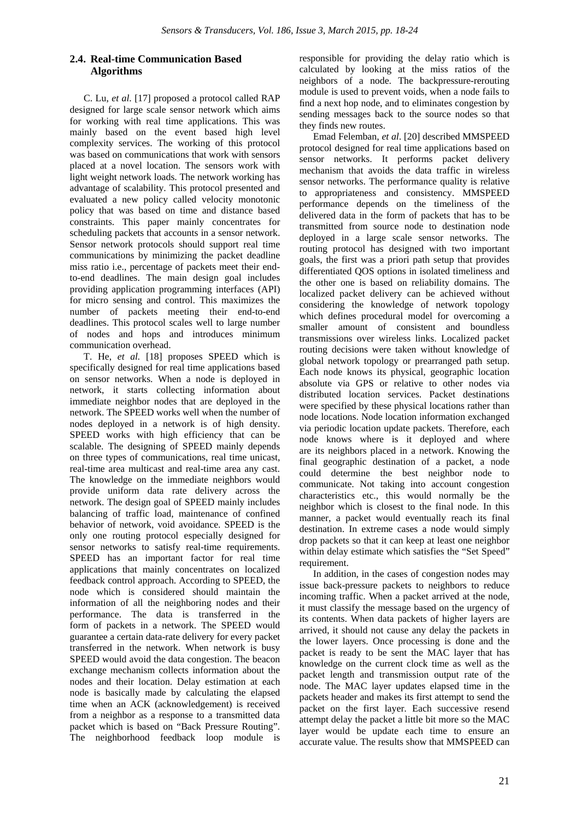## **2.4. Real-time Communication Based Algorithms**

C. Lu, *et al*. [17] proposed a protocol called RAP designed for large scale sensor network which aims for working with real time applications. This was mainly based on the event based high level complexity services. The working of this protocol was based on communications that work with sensors placed at a novel location. The sensors work with light weight network loads. The network working has advantage of scalability. This protocol presented and evaluated a new policy called velocity monotonic policy that was based on time and distance based constraints. This paper mainly concentrates for scheduling packets that accounts in a sensor network. Sensor network protocols should support real time communications by minimizing the packet deadline miss ratio i.e., percentage of packets meet their endto-end deadlines. The main design goal includes providing application programming interfaces (API) for micro sensing and control. This maximizes the number of packets meeting their end-to-end deadlines. This protocol scales well to large number of nodes and hops and introduces minimum communication overhead.

T. He, *et al.* [18] proposes SPEED which is specifically designed for real time applications based on sensor networks. When a node is deployed in network, it starts collecting information about immediate neighbor nodes that are deployed in the network. The SPEED works well when the number of nodes deployed in a network is of high density. SPEED works with high efficiency that can be scalable. The designing of SPEED mainly depends on three types of communications, real time unicast, real-time area multicast and real-time area any cast. The knowledge on the immediate neighbors would provide uniform data rate delivery across the network. The design goal of SPEED mainly includes balancing of traffic load, maintenance of confined behavior of network, void avoidance. SPEED is the only one routing protocol especially designed for sensor networks to satisfy real-time requirements. SPEED has an important factor for real time applications that mainly concentrates on localized feedback control approach. According to SPEED, the node which is considered should maintain the information of all the neighboring nodes and their performance. The data is transferred in the form of packets in a network. The SPEED would guarantee a certain data-rate delivery for every packet transferred in the network. When network is busy SPEED would avoid the data congestion. The beacon exchange mechanism collects information about the nodes and their location. Delay estimation at each node is basically made by calculating the elapsed time when an ACK (acknowledgement) is received from a neighbor as a response to a transmitted data packet which is based on "Back Pressure Routing". The neighborhood feedback loop module is

responsible for providing the delay ratio which is calculated by looking at the miss ratios of the neighbors of a node. The backpressure-rerouting module is used to prevent voids, when a node fails to find a next hop node, and to eliminates congestion by sending messages back to the source nodes so that they finds new routes.

Emad Felemban, *et al*. [20] described MMSPEED protocol designed for real time applications based on sensor networks. It performs packet delivery mechanism that avoids the data traffic in wireless sensor networks. The performance quality is relative to appropriateness and consistency. MMSPEED performance depends on the timeliness of the delivered data in the form of packets that has to be transmitted from source node to destination node deployed in a large scale sensor networks. The routing protocol has designed with two important goals, the first was a priori path setup that provides differentiated QOS options in isolated timeliness and the other one is based on reliability domains. The localized packet delivery can be achieved without considering the knowledge of network topology which defines procedural model for overcoming a smaller amount of consistent and boundless transmissions over wireless links. Localized packet routing decisions were taken without knowledge of global network topology or prearranged path setup. Each node knows its physical, geographic location absolute via GPS or relative to other nodes via distributed location services. Packet destinations were specified by these physical locations rather than node locations. Node location information exchanged via periodic location update packets. Therefore, each node knows where is it deployed and where are its neighbors placed in a network. Knowing the final geographic destination of a packet, a node could determine the best neighbor node to communicate. Not taking into account congestion characteristics etc., this would normally be the neighbor which is closest to the final node. In this manner, a packet would eventually reach its final destination. In extreme cases a node would simply drop packets so that it can keep at least one neighbor within delay estimate which satisfies the "Set Speed" requirement.

In addition, in the cases of congestion nodes may issue back-pressure packets to neighbors to reduce incoming traffic. When a packet arrived at the node, it must classify the message based on the urgency of its contents. When data packets of higher layers are arrived, it should not cause any delay the packets in the lower layers. Once processing is done and the packet is ready to be sent the MAC layer that has knowledge on the current clock time as well as the packet length and transmission output rate of the node. The MAC layer updates elapsed time in the packets header and makes its first attempt to send the packet on the first layer. Each successive resend attempt delay the packet a little bit more so the MAC layer would be update each time to ensure an accurate value. The results show that MMSPEED can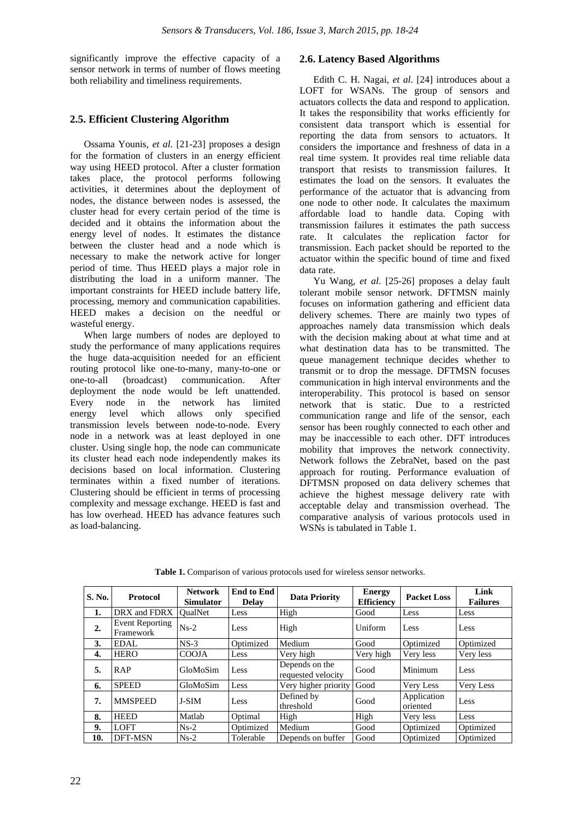significantly improve the effective capacity of a sensor network in terms of number of flows meeting both reliability and timeliness requirements.

#### **2.5. Efficient Clustering Algorithm**

Ossama Younis, *et al.* [21-23] proposes a design for the formation of clusters in an energy efficient way using HEED protocol. After a cluster formation takes place, the protocol performs following activities, it determines about the deployment of nodes, the distance between nodes is assessed, the cluster head for every certain period of the time is decided and it obtains the information about the energy level of nodes. It estimates the distance between the cluster head and a node which is necessary to make the network active for longer period of time. Thus HEED plays a major role in distributing the load in a uniform manner. The important constraints for HEED include battery life, processing, memory and communication capabilities. HEED makes a decision on the needful or wasteful energy.

When large numbers of nodes are deployed to study the performance of many applications requires the huge data-acquisition needed for an efficient routing protocol like one-to-many, many-to-one or one-to-all (broadcast) communication. After deployment the node would be left unattended. Every node in the network has limited energy level which allows only specified transmission levels between node-to-node. Every node in a network was at least deployed in one cluster. Using single hop, the node can communicate its cluster head each node independently makes its decisions based on local information. Clustering terminates within a fixed number of iterations. Clustering should be efficient in terms of processing complexity and message exchange. HEED is fast and has low overhead. HEED has advance features such as load-balancing.

#### **2.6. Latency Based Algorithms**

Edith C. H. Nagai, *et al*. [24] introduces about a LOFT for WSANs. The group of sensors and actuators collects the data and respond to application. It takes the responsibility that works efficiently for consistent data transport which is essential for reporting the data from sensors to actuators. It considers the importance and freshness of data in a real time system. It provides real time reliable data transport that resists to transmission failures. It estimates the load on the sensors. It evaluates the performance of the actuator that is advancing from one node to other node. It calculates the maximum affordable load to handle data. Coping with transmission failures it estimates the path success rate. It calculates the replication factor for transmission. Each packet should be reported to the actuator within the specific bound of time and fixed data rate.

Yu Wang, *et al*. [25-26] proposes a delay fault tolerant mobile sensor network. DFTMSN mainly focuses on information gathering and efficient data delivery schemes. There are mainly two types of approaches namely data transmission which deals with the decision making about at what time and at what destination data has to be transmitted. The queue management technique decides whether to transmit or to drop the message. DFTMSN focuses communication in high interval environments and the interoperability. This protocol is based on sensor network that is static. Due to a restricted communication range and life of the sensor, each sensor has been roughly connected to each other and may be inaccessible to each other. DFT introduces mobility that improves the network connectivity. Network follows the ZebraNet, based on the past approach for routing. Performance evaluation of DFTMSN proposed on data delivery schemes that achieve the highest message delivery rate with acceptable delay and transmission overhead. The comparative analysis of various protocols used in WSNs is tabulated in Table 1.

| S. No. | <b>Protocol</b>              | <b>Network</b><br><b>Simulator</b> | <b>End to End</b><br><b>Delay</b> | <b>Data Priority</b>                 | <b>Energy</b><br><b>Efficiency</b> | <b>Packet Loss</b>      | Link<br><b>Failures</b> |
|--------|------------------------------|------------------------------------|-----------------------------------|--------------------------------------|------------------------------------|-------------------------|-------------------------|
| 1.     | DRX and FDRX                 | <b>OualNet</b>                     | Less                              | High                                 | Good                               | Less                    | Less                    |
| 2.     | Event Reporting<br>Framework | $Ns-2$                             | Less                              | High                                 | Uniform                            | Less                    | Less                    |
| 3.     | <b>EDAL</b>                  | $NS-3$                             | Optimized                         | Medium                               | Good                               | Optimized               | Optimized               |
| 4.     | <b>HERO</b>                  | <b>COOJA</b>                       | Less                              | Very high                            | Very high                          | Very less               | Very less               |
| 5.     | <b>RAP</b>                   | GloMoSim                           | Less                              | Depends on the<br>requested velocity | Good                               | Minimum                 | Less                    |
| 6.     | <b>SPEED</b>                 | GloMoSim                           | Less                              | Very higher priority Good            |                                    | Very Less               | Very Less               |
| 7.     | <b>MMSPEED</b>               | <b>J-SIM</b>                       | Less                              | Defined by<br>threshold              | Good                               | Application<br>oriented | Less                    |
| 8.     | <b>HEED</b>                  | Matlab                             | Optimal                           | High                                 | High                               | Very less               | Less                    |
| 9.     | <b>LOFT</b>                  | $Ns-2$                             | Optimized                         | Medium                               | Good                               | Optimized               | Optimized               |
| 10.    | DFT-MSN                      | $Ns-2$                             | Tolerable                         | Depends on buffer                    | Good                               | Optimized               | Optimized               |

**Table 1.** Comparison of various protocols used for wireless sensor networks.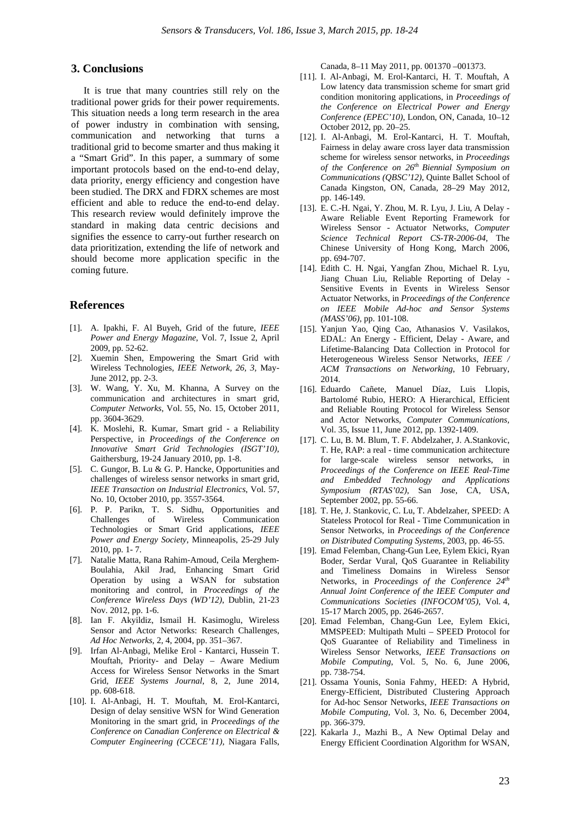#### **3. Conclusions**

It is true that many countries still rely on the traditional power grids for their power requirements. This situation needs a long term research in the area of power industry in combination with sensing, communication and networking that turns a traditional grid to become smarter and thus making it a "Smart Grid". In this paper, a summary of some important protocols based on the end-to-end delay, data priority, energy efficiency and congestion have been studied. The DRX and FDRX schemes are most efficient and able to reduce the end-to-end delay. This research review would definitely improve the standard in making data centric decisions and signifies the essence to carry-out further research on data prioritization, extending the life of network and should become more application specific in the coming future.

#### **References**

- [1]. A. Ipakhi, F. Al Buyeh, Grid of the future, *IEEE Power and Energy Magazine*, Vol. 7, Issue 2, April 2009, pp. 52-62.
- [2]. Xuemin Shen, Empowering the Smart Grid with Wireless Technologies, *IEEE Network, 26, 3,* May-June 2012, pp. 2-3.
- [3]. W. Wang, Y. Xu, M. Khanna, A Survey on the communication and architectures in smart grid, *Computer Networks*, Vol. 55, No. 15, October 2011, pp. 3604-3629.
- [4]. K. Moslehi, R. Kumar, Smart grid a Reliability Perspective, in *Proceedings of the Conference on Innovative Smart Grid Technologies (ISGT'10)*, Gaithersburg, 19-24 January 2010, pp. 1-8.
- [5]. C. Gungor, B. Lu & G. P. Hancke, Opportunities and challenges of wireless sensor networks in smart grid, *IEEE Transaction on Industrial Electronics*, Vol. 57, No. 10, October 2010, pp. 3557-3564.
- [6]. P. P. Parikn, T. S. Sidhu, Opportunities and Challenges of Wireless Communication Technologies or Smart Grid applications, *IEEE Power and Energy Society,* Minneapolis, 25-29 July 2010, pp. 1- 7.
- [7]. Natalie Matta, Rana Rahim-Amoud, Ceila Merghem-Boulahia, Akil Jrad, Enhancing Smart Grid Operation by using a WSAN for substation monitoring and control, in *Proceedings of the Conference Wireless Days (WD'12)*, Dublin, 21-23 Nov. 2012, pp. 1-6.
- [8]. Ian F. Akyildiz, Ismail H. Kasimoglu, Wireless Sensor and Actor Networks: Research Challenges, *Ad Hoc Networks,* 2, 4, 2004, pp. 351–367.
- [9]. Irfan Al-Anbagi, Melike Erol Kantarci, Hussein T. Mouftah, Priority- and Delay – Aware Medium Access for Wireless Sensor Networks in the Smart Grid*, IEEE Systems Journal*, 8, 2, June 2014, pp. 608-618.
- [10]. I. Al-Anbagi, H. T. Mouftah, M. Erol-Kantarci, Design of delay sensitive WSN for Wind Generation Monitoring in the smart grid, in *Proceedings of the Conference on Canadian Conference on Electrical & Computer Engineering (CCECE'11),* Niagara Falls,

Canada, 8–11 May 2011, pp. 001370 –001373.

- [11]. I. Al-Anbagi, M. Erol-Kantarci, H. T. Mouftah, A Low latency data transmission scheme for smart grid condition monitoring applications, in *Proceedings of the Conference on Electrical Power and Energy Conference (EPEC'10)*, London, ON, Canada, 10–12 October 2012, pp. 20–25.
- [12]. I. Al-Anbagi, M. Erol-Kantarci, H. T. Mouftah, Fairness in delay aware cross layer data transmission scheme for wireless sensor networks, in *Proceedings of the Conference on 26th Biennial Symposium on Communications (QBSC'12)*, Quinte Ballet School of Canada Kingston, ON, Canada, 28–29 May 2012, pp. 146-149.
- [13]. E. C.-H. Ngai, Y. Zhou, M. R. Lyu, J. Liu, A Delay Aware Reliable Event Reporting Framework for Wireless Sensor - Actuator Networks, *Computer Science Technical Report CS-TR-2006-04*, The Chinese University of Hong Kong, March 2006, pp. 694-707.
- [14]. Edith C. H. Ngai, Yangfan Zhou, Michael R. Lyu, Jiang Chuan Liu, Reliable Reporting of Delay - Sensitive Events in Events in Wireless Sensor Actuator Networks, in *Proceedings of the Conference on IEEE Mobile Ad-hoc and Sensor Systems (MASS'06),* pp. 101-108.
- [15]. Yanjun Yao, Qing Cao, Athanasios V. Vasilakos, EDAL: An Energy - Efficient, Delay - Aware, and Lifetime-Balancing Data Collection in Protocol for Heterogeneous Wireless Sensor Networks, *IEEE / ACM Transactions on Networking*, 10 February, 2014.
- [16]. Eduardo Cañete, Manuel Díaz, Luis Llopis, Bartolomé Rubio, HERO: A Hierarchical, Efficient and Reliable Routing Protocol for Wireless Sensor and Actor Networks*, Computer Communications,* Vol. 35, Issue 11, June 2012, pp. 1392-1409.
- [17]. C. Lu, B. M. Blum, T. F. Abdelzaher, J. A.Stankovic, T. He, RAP: a real - time communication architecture for large-scale wireless sensor networks, in *Proceedings of the Conference on IEEE Real-Time and Embedded Technology and Applications Symposium (RTAS'02)*, San Jose, CA, USA, September 2002, pp. 55-66.
- [18]. T. He, J. Stankovic, C. Lu, T. Abdelzaher, SPEED: A Stateless Protocol for Real - Time Communication in Sensor Networks, in *Proceedings of the Conference on Distributed Computing Systems,* 2003, pp. 46-55.
- [19]. Emad Felemban, Chang-Gun Lee, Eylem Ekici, Ryan Boder, Serdar Vural, QoS Guarantee in Reliability and Timeliness Domains in Wireless Sensor Networks, in *Proceedings of the Conference 24th Annual Joint Conference of the IEEE Computer and Communications Societies (INFOCOM'05),* Vol. 4, 15-17 March 2005, pp. 2646-2657.
- [20]. Emad Felemban, Chang-Gun Lee, Eylem Ekici, MMSPEED: Multipath Multi – SPEED Protocol for QoS Guarantee of Reliability and Timeliness in Wireless Sensor Networks, *IEEE Transactions on Mobile Computing*, Vol. 5, No. 6, June 2006, pp. 738-754.
- [21]. Ossama Younis, Sonia Fahmy, HEED: A Hybrid, Energy-Efficient, Distributed Clustering Approach for Ad-hoc Sensor Networks, *IEEE Transactions on Mobile Computing,* Vol. 3, No. 6, December 2004, pp. 366-379.
- [22]. Kakarla J., Mazhi B., A New Optimal Delay and Energy Efficient Coordination Algorithm for WSAN,